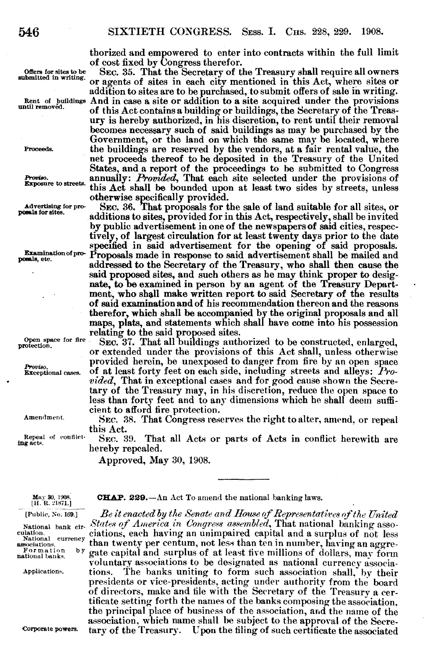thorized and empowered to enter into contracts within the full limit

of cost fixed by Congress therefor.<br>Sec. 35. That the Secretary of the Treasury shall require all owners offers for sites to be SEC. 35. That the Secretary of the Treasury shall require all owners sbmted n writing. or agents of sites in each city mentioned in this Act, where sites or addition to sites are to be purchased, to submit offers of sale in writing. Rent of buildings And in case a site or addition to a site acquired under the provisions until removed. of this Act contains a building or buildings, the Secretary of the Treasury is hereby authorized, in his discretion, to rent until their removal becomes necessary such of said buildings as may be purchased by the Government, or the land on which the same may be located, where Proceeds. the buildings are reserved by the vendors, at a fair rental value, the net proceeds thereof to be deposited in the Treasury of the United States, and a report of the proceedings to be submitted to Congress Proviso. annually: *Provided*, That each site selected under the provisions of Exposure to streets. this Art shall be hounded unan at least two sides by streets welcome this Act shall be bounded upon at least two sides by streets, unless

otherwise specifically provided.<br>Advertising for pro- SEC. 36. That proposals for the sale of land suitable for all sites, or<br>additions to sites, provided for in this Act, respectively, shall be invited by public advertisement in one of the newspapers of said cities, respectively, of largest circulation for at least twenty days prior to the date specified in said advertisement for the opening of said proposals. Examination of pro- Proposals made in response to said advertisement shall be mailed and addressed to the Secretary of the Treasury, who shall then cause the said proposed sites, and such others as he may think proper to designate, to be examined in person by an agent of the Treasury Department, who shall make written report to said Secretary of the results of said examination and of his recommendation thereon and the reasons therefor, which shall be accompanied by the original proposals and all maps, plats, and statements which shall have come into his possession relating to the said proposed sites.

Open space for fire SEC. 37. That all buildings authorized to be constructed, enlarged, or extended under the provisions of this Act shall, unless otherwise **<sup>o</sup>**provided herein, be unexposed to danger from fire by an open space Proviso.<br>**Exceptional cases.** of at least forty feet on each side, including streets and alleys: *Provided,* That in exceptional cases and for good cause shown the Secretary of the Treasury may, in his discretion, reduce the open space to less than forty feet and to any dimensions which he shall deem sufficient to afford fire protection.

Amendment. SEC. 38. That Congress reserves the right to alter, amend, or repeal this Act.<br>Sec. 39.

Repeal of conflict- SEC. 39. That all Acts or parts of Acts in conflict herewith are hereby repealed.

Approved, May 30, 1908.

**May 30, 1908. CHAP. 229.** - An Act To amend the national banking laws. [H. R. 21871.]

[Public, No. 169.] *Be it enacted by the Senate and Iloiuse of Representativ.es of the Uzited* National bank cir- *States of America in Congress assembled*, That national banking asso-<br>evation.<br>cation, <u>we can</u> ciations, each having an unimpaired capital and a surplus of not less Example and a surplus of not less<br>associations, than twenty per centum, not less than ten in number, having an aggre-<br>rational banks. by gate capital and surplus of at least five millions of dollars, may form gate capital and surplus of at least five millions of dollars, may form voluntary associations to be designated as national currency associa-Applications. tions. The banks uniting to form such association shall, by their presidents or vice-presidents, acting under authority from the board of directors, make and file with the Secretary of the Treasury a certificate setting forth the names of the banks composing the association, the principal place of business of the association, and the name of the association, which name shall be subject to the approval of the Secre-Corporate powers. tary of the Treasury. Upon the filing of such certificate the associated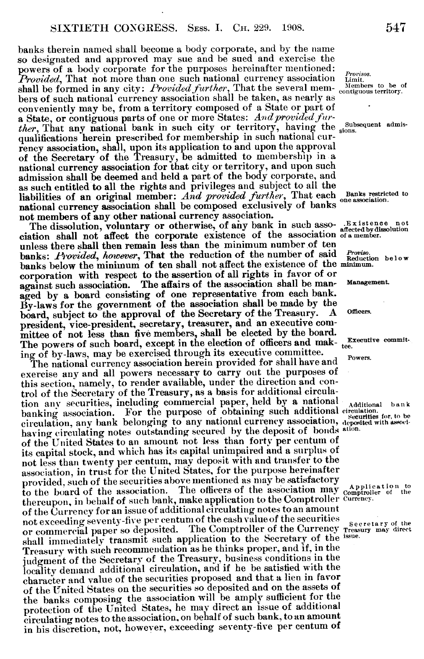banks therein named shall become a body corporate, and by the name so designated and approved may sue and be sued and exercise the powers of a body corporate for the purposes hereinafter mentioned: *Provisos. Provided*, That not more than one such national currency association  $\frac{F_{\text{turb}}}{\text{Lattice}}$ . shall be formed in any city: *Provided further*, That the several mem- Members to be a contiguous territory. bers of such national currency association shall be taken, as nearly as conveniently may be, from a territory composed of a State or part of a State, or contiguous parts of one or more States: *Andprovided further*, That any national bank in such city or territory, having the subsequent admisqualifications herein prescribed for membership in such national currency association, shall, upon its application to and upon the approval of the Secretary of the Treasury, be admitted to membership in a national currency association for that city or territory, and upon such admission shall be deemed and held a part of the body corporate, and as such entitled to all the rights and privileges and subject to all the liabilities of an original member: *And provided further*, That each Banks restricted to national currency association shall be composed exclusively of banks not members of any other national currency association.

The dissolution, voluntary or otherwise, of any bank in such asso- .Existence not ciation shall not affect the corporate existence of the association of amember. unless there shall then remain less than the minimum number of ten banks: *Provided, however*, That the reduction of the number of said *Proviso.*<br>Reduction below banks below the minimum of ten shall not affect the existence of the minmum. corporation with respect to the assertion of all rights in favor of or against such association. The affairs of the association shall be man- Management aged by a board consisting of one representative from each bank. By-laws for the government of the association shall be made by the heard subject to the approval of the Secretary of the Treasury. A board, subject to the approval of the Secretary of the Treasury. A Officers. president, vice-president, secretary, treasurer, and an executive committee of not less than five members, shall be elected by the board. The powers of such board, except in the election of officers and mak- tee. ing of by-laws, may be exercised through its executive committee.

The national currency association herein provided for shall have and Powers. exercise any and all powers necessary to carry out the purposes of this section, namely, to render available, under the direction and control of the Secretary of the Treasury, as a basis for additional circulation any securities, including commercial paper, held by a national Additional bank banking association. For the purpose of obtaining such additional circulation. circulation, any bank belonging to any national currency association, deposited with association having circulating notes outstanding secured by the deposit of bonds ation. of the United States to an amount not less than forty per centurn of its capital stock, and which has its capital unimpaired and a surplus of not less than twenty per centum, may deposit with and transfer to the association, in trust for the United States, for the purpose hereinafter provided, such of the securities above mentioned as may be satisfactory to the board of the association. The officers of the association may comproller of the thereupon, in behalf of such bank, make application to the Comptroller currency. of the Currency for an issue of additional circulating notes to an amount not exceeding seventy-five per centum of the cash value of the securities or commercial paper so deposited. The Comptroller of the Currency Treasury may direct shall immediately transmit such application to the Secretary of the issue. Treasury with such recommendation as he thinks proper, and if, in the judgment of the Secretary of the Treasury, business conditions in the locality demand additional circulation, and if he be satisfied with the character and value of the securities proposed and that a lien in favor of the United States on the securities so deposited and on the assets of the banks composing the association will be amply sufficient for the protection of the United States, he may direct an issue of additional circulating notes to the association. on behalf of such bank, to an amount in his discretion, not, however, exceeding seventy-five per centum of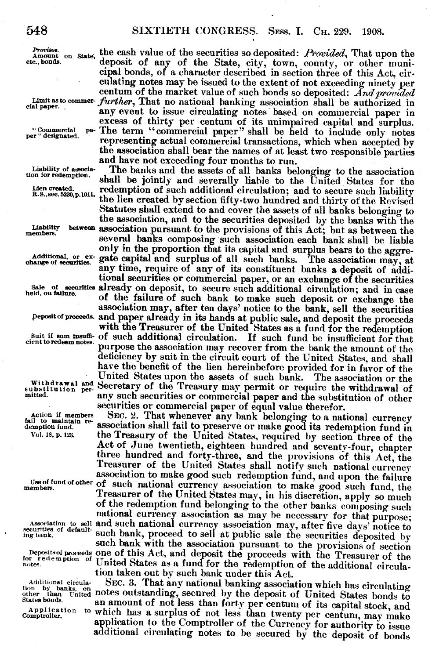Action if members<br>fail to maintain re-<br>demption fund.

Additional circula-

*Provisos.* Amount on state, the cash value of the securities so deposited: *Provided*, That upon the etc., bonds. deposit of any of the State, city, town, county, or other municipal bonds, of a character described in section three of this Act, circentum of the market value of such bonds so deposited: And provided<br>cial paper.<br>cial paper. any event to issue circulating notes based on commercial paper in excess of thirty per centum of its unimpaired capital and surplus. excess of the term "commercial paper" shall be held to include only notes<br>per "designated. **"** representing actual commercial transactions, which when accepted by the association shall bear the names of at least two responsible parties<br>and have not exceeding four months to run.<br>Liability of association shall be not a shall bear the names of all bearing to the escociation

**Liability of associa-** The banks and the assets of all banks belonging to the association on forecall be jointly and severally liable to the United States for the Liencreated.  $\blacksquare$  redemption of such additional circulation: and to secure such liability Lien created. **redemption of such additional circulation; and to secure such liability** R.S., sec. 5230, p.1011. the lien created by section fifty-two hundred and thirty of the Revised Statutes shall extend to and cover the assets of all banks belonging to the association, and to the securities deposited by the banks with the **Limabiity beteen** association pursuant to the provisions of this Act; but as between the several banks composing such association each bank shall be liable only in the proportion that its capital and surplus bears to the aggre-<br> **Additional**, or ex- gate capital and surplus of all such banks. The association may, at any time, require of any of its constituent banks a deposit of additional securities or commercial paper, or an exchange of the securities Sale of securities already on deposit, to secure such additional circulation; and in case of the failure of such bank to make such deposit or exchange the association may, after ten days' notice to the bank, sell the securities<br>peposit of proceeds and paper already in its hands at public sale, and deposit the proceeds with the Treasurer of the United States as a fund for the redemption<br>suit if sum insufficient of such additional circulation. If such fund be insufficient for that<br>cient to redeem notes. purpose the association may recover deficiency by suit in the circuit court of the United States, and shall have the benefit of the lien hereinbefore provided for in favor of the United States upon the assets of such bank. The association or the Withdrawal and Secretary of the Treasury may permit or require the withdrawal of mitted. <br> **any such securities or commercial paper and the substitution of other** securities or commercial paper of equal value therefor.

Action if members SEC. 2. That whenever any bank belonging to a national currency ill to maintain re-<br>association shall fail to preserve or make good its redemption fund in<br>Vol. 18, p. 123. the Treasury of the United State three hundred and forty-three, and the provisions of this Act, the<br>Treasurer of the United States shall notify such national currency<br>association to make good such redemption fund, and upon the failure<br>members. Treasurer of the United States may, in his discretion, apply so much national currency association as may be necessary for that purpose;<br>Association to sell and such national currency association may, after five days' notice to<br>securities of default-<br>such bank, proceed to sell at public sal Deposits of proceeds one of this Act, and deposit the proceeds with the Treasurer of the for regemption of United States as a fund for the redemption of the additional circula-

tion taken out by such bank under this Act.<br>SEC. 3. That any national banking association which has circulating Additional circula-<br>tion by banks, on CEC. 3. That any national banking association which has circulating<br>other than United notes outstanding, secured by the deposit of United States bonds to<br>states bonds to an amount of n states bonds. an amount of not less than forty per centum of its capital stock, and comptroller.<br>Comptroller of the Currency for authority to issue application to the Comptroller of the Currency for authority to issue additional circulating notes to be secured by the deposit of bonds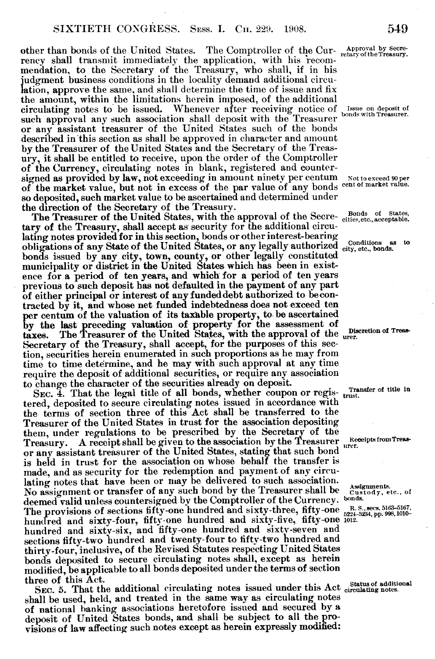other than bonds of the United States. The Comptroller of the Cur- Approval by Secrerency shall transmit immediately the application, with his recommendation, to the Secretary of the Treasury, who shall, if in his udgment business conditions in the locality demand additional circulation, approve the same, and shall determine the time of issue and fix the amount, within the limitations herein imposed, of the additional circulating notes to be issued. Whenever after receiving notice of Issue on deposit of such approval any such association shall deposit with the Treasurer bonds with Treasurer or any assistant treasurer of the United States such of the bonds described in this section as shall be approved in character and amount by the Treasurer of the United States and the Secretary of the Treasury, it shall be entitled to receive, upon the order of the Comptroller of the Currency, circulating notes in blank, registered and countersigned as provided by law, not exceeding in amount ninety per centum Not to exceed 90 per of the market value, but not in excess of the par value of any bonds cent of market value. so deposited, such market value to be ascertained and determined under the direction of the Secretary of the Treasury.

The Treasurer of the United States, with the approval of the Secre- Bonds of States, The Treasurer of the United States, with the approval of the Secre- cities, etc., acceptable. tary of the Treasury, shall accept as security for the additional circulating notes provided for in this section, bonds or other interest-bearing obligations of any State of the United States, or any legally authorized city, etc., bonds. bonds issued by any city, town, county, or other legally constituted municipality or district in the United States which has been in existence for a period of ten years, and which for a period of ten years previous to such deposit has not defaulted in the payment of any part of either principal or interest of any funded debt authorized to becontracted by it, and whose net funded indebtedness does not exceed ten per centum of the valuation of its taxable property, to be ascertained by the last preceding valuation of property for the assessment of taxes. The Treasurer of the United States, with the approval of the urer. Secretary of the Treasury, shall accept, for the purposes of this section, securities herein enumerated in such proportions as he may from time to time determine, and he may with such approval at any time require the deposit of additional securities, or require any association to change the character of the securities already on deposit.

SEC. 4. That the legal title of all bonds, whether coupon or registered, deposited to secure circulating notes issued in accordance with the terms of section three of this Act shall be transferred to the Treasurer of the United States in trust for the association depositing them, under regulations to be prescribed by the Secretary of the Treasury. A receipt shall be given to the association by the Treasurer Receipts from Treas or any assistant treasurer of the United States, stating that such bond is held in trust for the association on whose behalf the transfer is made, and as security for the redemption and payment of any circulating notes that have been or may be delivered to such association. lating notes that have been or may be defivered to such association.<br>No assignment or transfer of any such bond by the Treasurer shall be custody, etc., of deemed valid unless countersigned by the Comptroller of the Currency. bonds. The provisions of sections fifty-one hundred and sixty-three, fifty-one  $_{522+5234, pp.998,1010}^{R.S., secs. 5163-5167, p.}$ hundred and sixty-four, fifty-one hundred and sixty-five, fifty-one 1012 hundred and sixty-six, and fifty-one hundred and sixty-seven and sections fifty-two hundred and twenty-four to fiftv-two hundred and thirty-four, inclusive, of the Revised Statutes respecting United States bonds deposited to secure circulating notes shall, except as herein modified, be applicable to all bonds deposited under the terms of section three of this Act.

SEC. 5. That the additional circulating notes issued under this Act  $_{circulation}^{Status of additional}$ shall be used, held, and treated in the same way as circulating notes of national banking associations heretofore issued and secured by a deposit of United States bonds, and shall be subject to all the provisions of law affecting such notes except as herein expressly modified:

on of Trea<sup>s</sup> -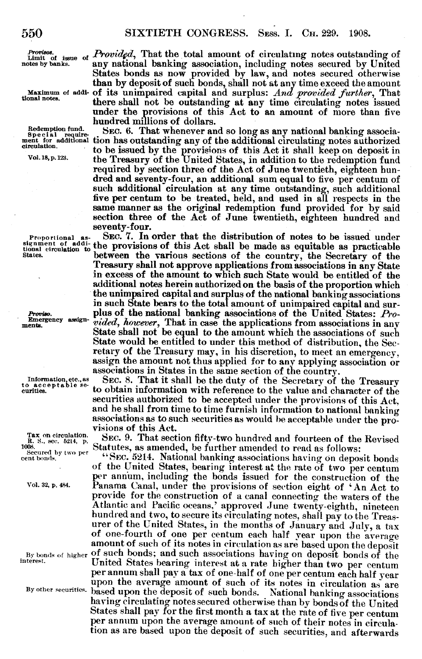tissue of *Provided*, That the total amount of circulating notes outstanding of notes by banks. any national banking association, including notes secured by United any national banking association, including notes secured by United States bonds as now provided by law, and notes secured otherwise than by deposit of such bonds, shall not at any time exceed the amount Maximum of addi- of its unimpaired capital and surplus: *And provided further,* That there shall not be outstanding at any time circulating notes issued under the provisions of this Act to an amount of more than five hundred millions of dollars.

Redemption fund. SEC. 6. That whenever and so long as any national banking associament for additional tion has outstanding any of the additional circulating notes authorized remation. to be issued by the provisions of this Act it shall keep on deposit in Vol. 18, p. 123. the Treasury of the United States, in addition to the redemption fund required by section three of the Act of June twentieth, eighteen hundred and seventy-four, an additional sum equal to five per centum of such additional circulation at any time outstanding, such additional five per centum to be treated, held, and used in all respects in the same manner as the original redemption fund provided for by said section three of the Act of June twentieth, eighteen hundred and seventy-four.

Proportional as-<br>SEC. 7. In order that the distribution of notes to be issued under<br>tional circulation to ddi-<br>the provisions of this Act shall be made as equitable as practicable<br>states. Treasury shall not approve applications from associations in any State in excess of the amount to which such State would be entitled of the additional notes herein authorized on the basis of the proportion which the unimpaired capital and surplus of the national banking associations in such State bears to the total amount of unimpaired capital and sur-*Proviso.* plus of the national banking associations of the United States: *Pro-*Energency assign- *vided*, *however*, That in case the applications from associations in any ments. The *interface associations* in any State shall not be equal to the amount which the associations of such State would be entitled to under this method of distribution, the Secretary of the Treasury may, in his discretion, to meet an emergency, assign the amount not thus applied for to any applying association or associations in States in the same section of the country.

Information.etc..as SEC. 8. That it shall be the duty of the Secretary of the Treasury to exceptable section obtain information with reference to the value and character of the to obtain information with reference to the value and character of the securities authorized to be accepted under the provisions of this Act,<br>and he shall from time to time furnish information to national banking<br>associations as to such securities as would be acceptable under the pro-<br>visions

Tax on circulation. Sec. 9. That section fifty-two hundred and fourteen of the Revised<br>B. *S., sec.* 5214, p. Statutes, as amended be further amended to read as follows:  $\frac{1}{\text{1}}$  ones. Statutes, as amended, be further amended to read as follows:

ertibrity, two per "SEC. 5214. National banking associations having on deposit bonds of the United States, bearing interest at the rate of two per centum per annum, including the bonds issued for the construction of the vol. 32, p. 484. Panama Canal, under the provisions of section eight of 'An Act to provide for the construction of a canal connecting the waters of the Atlantic and Pacific oceans,' approved June twenty-eighth, nineteen hundred and two, to secure its circulating notes, shall pay to the Treasurer of the United States, in the months of January and July, a tax of one-fourth of one per centum each half year upon the average amount of such of its notes in circulation as are based upon the deposit By bonds of higher of such bonds; and such associations having on deposit bonds of the interest. United States bearing interest at a rate higher than two per centum per annum shall pay a tax of one-half of one per centum each half year upon the average amount of such of its notes in circulation as are based upon the deposit of such bonds. National banking associations By other securities. based upon the deposit of such bonds. having circulating notes secured otherwise than by bonds of the United States shall pay for the first month a tax at the rate of five per centum per annum upon the average amount of such of their notes in circulation as are based upon the deposit of such securities, and afterwards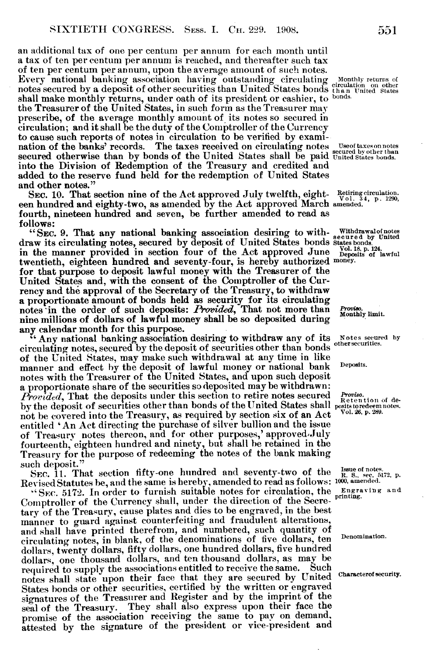an additional tax of one per centum per annum for each month until a tax of ten per centum per annum is reached, and thereafter such tax of ten per centum per annum, upon the average amount of such notes. Every national banking association having outstanding circulating Monthly returns of notes secured by a deposit of other securities than United States bonds than United States shall make monthly returns, under oath of its president or cashier, to bonds the Treasurer of the United States, in such form as the Treasurer may prescribe, of the average monthly amount of its notes so secured in circulation; and it shall be the duty of the Comptroller of the Currency to cause such reports of notes in circulation to be verified by examination of the banks' records. The taxes received on circulating notes Useoftaxesonnote secured otherwise than by bonds of the United States shall be paid United States bonds. into the Division of Redemption of the Treasury and credited and added to the reserve fund held for the redemption of United States and other notes."

SEC. 10. That section nine of the Act approved July twelfth, eight-Retiring circulation. een hundred and eighty-two, as amended by the Act approved March amended. fourth, nineteen hundred and seven, be further amended to read as follows:

"SEC. 9. That any national banking association desiring to with- Withdrawalof notes draw its circulating notes, secured by deposit of United States bonds states bonds in the manner provided in section four of the Act approved June  $\frac{\text{Vol. 18, p. 124}}{\text{Deposits of lawful}}$ twentieth, eighteen hundred and seventy-four, is hereby authorized money. for that purpose to deposit lawful money with the Treasurer of the United States and, with the consent of the Comptroller of the Currency and the approval of the Secretary of the Treasury, to withdraw a proportionate amount of bonds held as security for its circulating notes in the order of such deposits: *Provided*, That not more than *Provise.* Monthly limit. nine millions of dollars of lawful money shall be so deposited during any calendar month for this purpose.

Any national banking association desiring to withdraw any of its Notes secured by circulating notes, secured by the deposit of securities other than bonds of the United States, may make such withdrawal at any time in like manner and effect by the deposit of lawful money or national bank Deposits. notes with the Treasurer of the United States, and upon such deposit a proportionate share of the securities so deposited may be withdrawn: *Provided*, That the deposits under this section to retire notes secured *Proviso.*<br>Retention of de-*Provided*, 1 nat the deposits direct than bonds of the United States shall posits toredeem notes.<br>by the deposit of securities other than bonds of the United States shall posits toredeem notes. not be covered into the Treasury, as required by section six of an Act entitled 'An Act directing the purchase of silver bullion and the issue of Treasury notes thereon, and for other purposes,' approved.July fourteenth, eighteen hundred and ninety, but shall he retained in the Treasury for the purpose of redeeming the notes of the bank making such deposit."

SEC. 11. That section fifty-one hundred and seventy-two of the  $_{R.S.,\,seq.5, 5172, p.}^{Isauge of notes.}$ Revised Statutes be, and the same is hereby, amended to read as follows: 1000, amended.

"SEC. 5172. In order to furnish suitable notes for circulation, the Engraving and "SEC.  $5172$ . In order to furnish suitable notes for circulation, the  $_{\text{Engraig.}}$  Comptroller of the Currency shall, under the direction of the Secretary of the Treasury, cause plates and dies to be engraved, in the best manner to guard against counterfeiting and fraudulent alterations, and shall have printed therefrom, and numbered, such quantity of circulating notes, in blank, of the denominations of five dollars, ten Denomination. dollars, twenty dollars, fifty dollars, one hundred dollars, five hundred dollars, one thousand dollars, and ten thousand dollars, as may be required to supply the associations entitled to receive the same. Such required to supply the associations entitled to receive the same. notes shall state upon their face that they are secured by United Characterof security. States bonds or other securities, certified by the written or engraved signatures of the Treasurer and Register and by the imprint of the seal of the Treasury. They shall also express upon their face the promise of the association receiving the same to pay on demand, attested by the signature of the president or vice-president and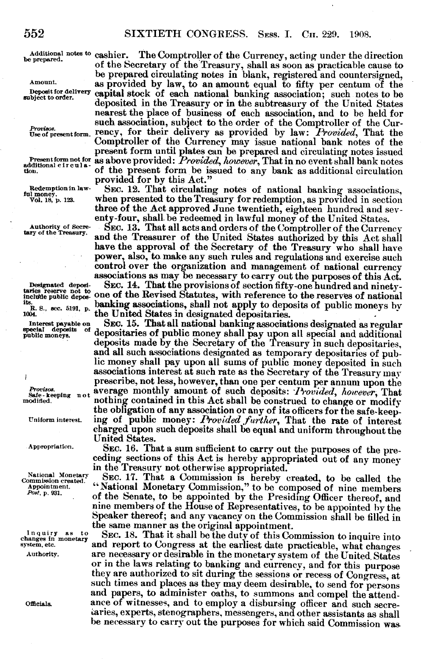j

Additional notes to cashier. The Comptroller of the Currency, acting under the direction pred. of the Secretary of the Treasury, shall as soon as practicable cause to be prepared circulating notes in blank, registered and countersigned,<br>Amount. as provided by law, to an amount equal to fifty per centum of the Deposit for delivery capital stock of each national banking association; such notes to be deposited in the Treasury or in the subtreasury of the United States nearest the place of business of each association, and to be held for such association, subject to the order of the Comptroller of the Cur-Useof presentform. rency, for their delivery as provided by law: *Provided,* That the Comptroller of the Currency may issue national bank notes of the present form until plates can be prepared and circulating notes issued Present form not for as above provided: *Provided, however*, That in no event shall bank notes additional eirculation<br>down. provided for by this Act."

Redemption in law- SEC. 12. That circulating notes of national banking associations,  $\frac{\text{full} \text{ mouse}}{\text{Vol}.18 \cdot \text{E}}$ . When presented to the Treasury for redemption, as provided in section when presented to the Treasury for redemption, as provided in section three of the Act approved June twentieth, eighteen hundred and seventy-four, shall be redeemed in lawful money of the United States.

Authority of Secre- SEC. 13. That all acts and orders of the Comptroller of the Currency and the Treasurer of the United States authorized by this Act shall have the approval of the Secretary of the Treasury who shall have power, also, to make any such rules and regulations and exercise such control over the organization and management of national currency associations as may be necessary to carry out the purposes of this Act.

Designated deposi- SEC. 14. That the provisions of section fifty-one hundred and ninety-<br>taries reserve not to taries reserve not to one of the Revised Statutes, with reference to the reserves of national<br>its distribution of the Revised Statutes, with reference to the reserves of national<br>its. S., sec. 5191, p. **depending associati** 

<sup>its.</sup> R. S., sec. 5191, p. **banking associations**, shall not apply to deposits of public moneys by 1004.<br>
Interest payable on SEC. 15. That all national banking associations designated as regular special depositaries of p <sup>of</sup> depositaries of public money shall pay upon all special and additional deposits made by the Secretary of the Treasury in such depositaries. and all such associations designated as temporary depositaries of public money shall pay upon all sums of public money deposited in such prescribe, not less, however, than one per centum per annum upon the *Provisos.* average monthly amount of such deposits: *Provided, however*, That modified.  $P$  and  $P$  and  $P$  are  $P$  and  $P$  and  $P$  and  $P$  and  $P$  and  $P$  and  $P$  and  $P$  and  $P$  and  $P$  and  $P$  and  $P$  and  $P$  and  $P$  a the obligation of any association or any of its officers for the safe-keep-<br>Uniform interest. ing of public money: Provided further, That the rate of interest charged upon such deposits shall be equal and uniform throughout the United States.

**Appropriation.** SEC. 16. That a sum sufficient to carry out the purposes of the preceding sections of this Act is hereby appropriated out of any money in the Treasury not otherwise appropriated.

National Monetary **SEC. 17. That a Commission is hereby created, to be called the commission**  $\cdot$  **created. Commission**  $\cdot$  **created. Commission**  $\cdot$  **c composed** of nine members  $\frac{X_{\text{D}}}{X_{\text{D}}}\sum_{i=1}^{N}$  (National Monetary Commission," to be composed of nine members<br>  $\frac{X_{\text{D}}}{X_{\text{D}}}\sum_{i=1}^{N}$  (At the Senate to be enrounted by the Presiding Officer thereof, and of the Senate, to be appointed by the Presiding Officer thereof, and nine members of the House of Representatives, to be appointed by the Speaker thereof; and any vacancy on the Commission shall be filled in the same manner as the original appointment.

Inquiry as to SEC. 18. That it shall be the duty of this Commission to inquire into changes in monetary and report to Congress at the earliest date practicable, what changes stem, etc. and report to Congress at the earliest date practicable, what changes  $\frac{1}{2}$  are necessary or desirable in the monetary system of the United States are necessary or desirable in the monetary system of the United. States or in the laws relating to banking and currency, and for this purpose they are authorized to sit during the sessions or recess of Congress, at such times and places as they may deem desirable, to send for persons and papers, to administer oaths, to summons and compel the attendofficials. **ance of witnesses, and to employ a disbursing officer and such secre-**  $\alpha$  aries, experts, stenographers, messengers, and other assistants as shall be necessary to carry out the purposes for which said Commission was